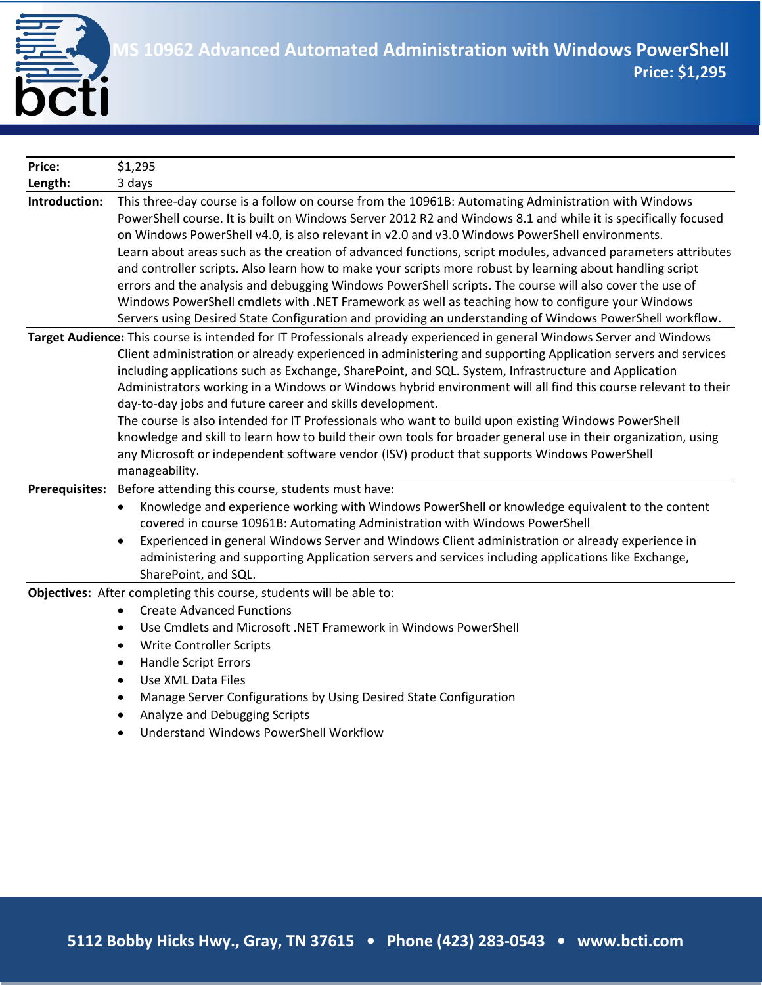

| <b>Price:</b>         | \$1,295                                                                                                                                                                                                                                                                                                                                                                                                                                                                                                                                                                                                                                                                                                                                                                                                                                                                        |
|-----------------------|--------------------------------------------------------------------------------------------------------------------------------------------------------------------------------------------------------------------------------------------------------------------------------------------------------------------------------------------------------------------------------------------------------------------------------------------------------------------------------------------------------------------------------------------------------------------------------------------------------------------------------------------------------------------------------------------------------------------------------------------------------------------------------------------------------------------------------------------------------------------------------|
| Length:               | 3 days                                                                                                                                                                                                                                                                                                                                                                                                                                                                                                                                                                                                                                                                                                                                                                                                                                                                         |
| Introduction:         | This three-day course is a follow on course from the 10961B: Automating Administration with Windows<br>PowerShell course. It is built on Windows Server 2012 R2 and Windows 8.1 and while it is specifically focused<br>on Windows PowerShell v4.0, is also relevant in v2.0 and v3.0 Windows PowerShell environments.<br>Learn about areas such as the creation of advanced functions, script modules, advanced parameters attributes<br>and controller scripts. Also learn how to make your scripts more robust by learning about handling script<br>errors and the analysis and debugging Windows PowerShell scripts. The course will also cover the use of<br>Windows PowerShell cmdlets with .NET Framework as well as teaching how to configure your Windows<br>Servers using Desired State Configuration and providing an understanding of Windows PowerShell workflow. |
|                       | Target Audience: This course is intended for IT Professionals already experienced in general Windows Server and Windows<br>Client administration or already experienced in administering and supporting Application servers and services<br>including applications such as Exchange, SharePoint, and SQL. System, Infrastructure and Application<br>Administrators working in a Windows or Windows hybrid environment will all find this course relevant to their<br>day-to-day jobs and future career and skills development.<br>The course is also intended for IT Professionals who want to build upon existing Windows PowerShell<br>knowledge and skill to learn how to build their own tools for broader general use in their organization, using<br>any Microsoft or independent software vendor (ISV) product that supports Windows PowerShell<br>manageability.       |
| <b>Prerequisites:</b> | Before attending this course, students must have:<br>Knowledge and experience working with Windows PowerShell or knowledge equivalent to the content<br>covered in course 10961B: Automating Administration with Windows PowerShell<br>Experienced in general Windows Server and Windows Client administration or already experience in<br>administering and supporting Application servers and services including applications like Exchange,<br>SharePoint, and SQL.                                                                                                                                                                                                                                                                                                                                                                                                         |
|                       | Objectives: After completing this course, students will be able to:<br><b>Create Advanced Functions</b><br>Use Cmdlets and Microsoft .NET Framework in Windows PowerShell<br>$\bullet$<br><b>Write Controller Scripts</b><br>٠<br><b>Handle Script Errors</b><br>$\bullet$<br>Use XML Data Files<br>$\bullet$<br>Manage Server Configurations by Using Desired State Configuration<br>$\mathbf{1}$ $\mathbf{1}$ $\mathbf{2}$ $\mathbf{3}$ $\mathbf{4}$ $\mathbf{5}$ $\mathbf{1}$ $\mathbf{5}$ $\mathbf{1}$ $\mathbf{6}$ $\mathbf{1}$ $\mathbf{5}$ $\mathbf{6}$ $\mathbf{6}$ $\mathbf{1}$ $\mathbf{5}$ $\mathbf{6}$ $\mathbf{6}$ $\mathbf{1}$ $\mathbf{1}$ $\mathbf{1}$ $\mathbf{1}$ $\mathbf{1}$ $\mathbf{1}$ $\mathbf{$                                                                                                                                                       |

- Analyze and Debugging Scripts
- Understand Windows PowerShell Workflow